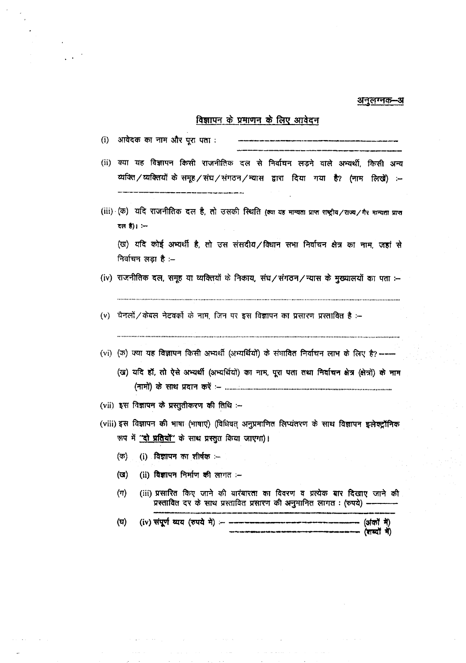#### अनुलग्नक-अ

## विज्ञापन के प्रमाणन के लिए आवेदन

|  |  | (i) - आवेदक का नाम और पूरा पता : |  | معدد مستحقة بالباسية المتحاملة الكارالا فتعاقبهما وأوجبت بالتار كتأم والتاحية والمجارية بابن بالمقاد لبنية بعبه جلبه بعث أبانه بنبية بانت |
|--|--|----------------------------------|--|-------------------------------------------------------------------------------------------------------------------------------------------|
|--|--|----------------------------------|--|-------------------------------------------------------------------------------------------------------------------------------------------|

- (ii) क्या यह विज्ञापन किसी राजनीतिक दल से निर्वाचन लड़ने वाले अभ्यर्थी, किसी अन्य व्यक्ति/व्यक्तियों के समूह/संघ/संगठन/म्यास द्वारा दिया गया है? (नाम लिखें) :-
- (iii) (क) यदि राजनीतिक दल है, तो उसकी स्थिति (क्या यह मान्यता प्राप्त शब्द्रीय/राज्य/गैर मान्यता प्राप्त दल है)। $:$

(ख) यदि कोई अभ्यर्थी है, तो उस संसदीय/विधान सभा निर्वाचन क्षेत्र का नाम, जहां से निर्वाचन लडा है :-

- (iv) राजनीतिक दल, समूह या व्यक्तियों के निकाय, संघ/संगठन/न्यास के मुख्यालयों का पता :-
- (v) चैनलों / केबल नेटवर्को के नाम, जिन पर इस विज्ञापन का प्रसारण प्रस्तावित है :-

- (vi) (ऊ) क्या यह विज्ञापन किसी अभ्यर्थी (अभ्यर्थियों) के संभावित निर्वाचन लाभ के लिए है? ----
	- (ख) यदि हों, तो ऐसे अभ्यर्थी (अभ्यर्थियों) का नाम, पूरा पता तथा निर्वाचन क्षेत्र (क्षेत्रों) के नाम

- (vii) इस विज्ञापन के प्रस्तुतीकरण की तिथि :--
- (viii) इस विज्ञापन की भाषा (भाषाएं) (विधिवत् अनुप्रमाणित लिप्यंतरण के साथ विज्ञापन इलेक्ट्रॉनिक रूप में <u>'दो प्रतियों''</u> के साथ प्रस्तुत किया जाएगा)।
	- (i) विज्ञापन का शीर्षक $:=$ (ক)
	- (অ) (ii) विज्ञापन निर्माण की लागत :-
	- (iii) प्रसारित किए जाने की बारंबारता का विवरण व प्रत्येक बार दिखाए जाने की  $(\pi)$ प्रस्तावित दर के साथ प्रस्तावित प्रसारण की अनुमानित लागत : (रुपये) -

(ঘ) (iv) संपूर्ण व्यय (रुपये में) :- --(अंकों में) (शब्दों में)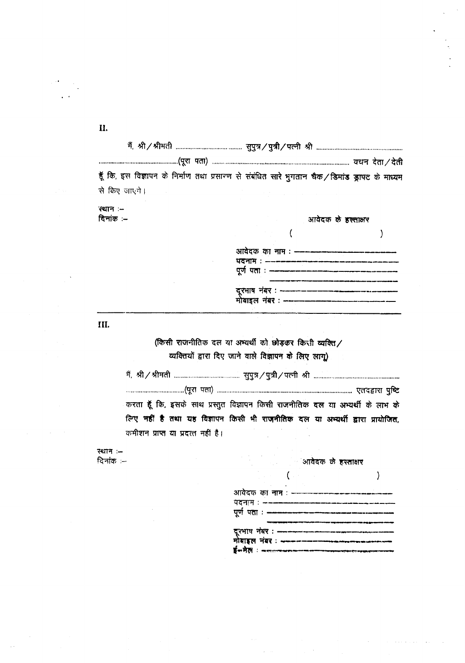II.

| हूँ कि, इस विज्ञापन के निर्माण तथा प्रसारण से संबंधित सारे भुगतान चैक/डिमांड ड्राफ्ट के माध्यम                                   |  |
|----------------------------------------------------------------------------------------------------------------------------------|--|
| से किए जाएंगे।<br>a sa kacamatan ing Kabupatèn Kabupatèn Kabupatèn Kabupatèn Kabupatèn Kabupatèn Kabupatèn Kabupatèn Kabupatèn K |  |

स्थान :-दिनांक $:=$ 

### आवेदक के इस्साक्षर

| आवेदक का नाम : —–<br>पदनाम : --- <b>------</b> - |  |
|--------------------------------------------------|--|
| पूर्ण पता : — <del>————</del> ——-                |  |
| दूरभाष नंबर : ------<br>मोबाइल नंबर : ------     |  |

III.

(किसी राजनीतिक दल या अभ्यर्थी को छोड़कर किसी व्यक्ति/ व्यक्तियों द्वारा दिए जाने वाले विज्ञापन के लिए लागू)

| करता हूँ कि, इसके साथ प्रस्तुत विज्ञापन किसी राजनीतिक दल या अभ्यर्थी के लाभ के |
|--------------------------------------------------------------------------------|
| लिए नहीं है तथा यह विज्ञापन किसी भी राजनीतिक दल या अभ्यर्थी द्वारा प्रायोजित,  |
| कमीशन प्राप्त या प्रदत्त नहीं है।                                              |

स्थान :-दिनांक $=$ 

|  | आवदक क | िरस्तसिए |
|--|--------|----------|
|  |        |          |

 $\lambda$ 

|  | आवेदक का नाम : -----------------------                                                                                                                          |  |
|--|-----------------------------------------------------------------------------------------------------------------------------------------------------------------|--|
|  | पदनाम : -------------------------                                                                                                                               |  |
|  | पूर्ण पता : —————————————————-                                                                                                                                  |  |
|  |                                                                                                                                                                 |  |
|  |                                                                                                                                                                 |  |
|  | दूरभाष नंबर : <del>----------------------------</del><br>मोबाइल नंबर : <del>--------------------------</del>                                                    |  |
|  | $\overline{\mathbf{B}}$ an $\overline{\mathbf{B}}$ ( $\overline{\mathbf{B}}$ ) - the discussion and the mean discussion depends of the discussion discussion of |  |

 $\overline{(\ }$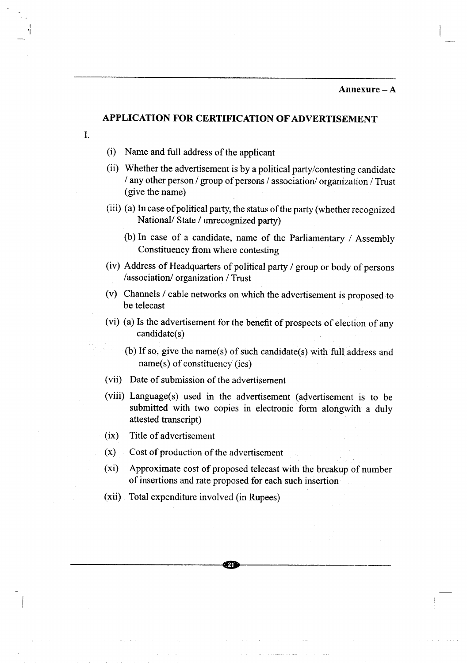#### Annexure-A

#### **APPLICATION FOR CERTIFICATION OF ADVERTISEMENT**

1.

I 'I

- (i) Name and full address of the applicant
- (ii) Whether the advertisement is by a political party/contesting candidate *I* any other person / group of persons / association/ organization / Trust (give the name)
- (iii) (a) In case of political party, the status of the party (whether recognized National/ State *I* unrecognized party)
	- (b) In case of a candidate, name of the Parliamentary / Assembly Constituency from where contesting
- (iv) Address of Headquarters of political party *I* group or body of persons /association/ organization / Trust
- (v) Channels / cable networks on which the advertisement is proposed to be telecast
- (vi) (a) Is the advertisement for the benefit of prospects of election of any candidate(s)
	- (b) If so, give the name(s) of such candidate(s) with full address and name(s) of constituency (ies)
- (vii) Date of submission of the advertisement
- (viii) Language(s) used in the advertisement (advertisement is to be submitted with two copies in electronic form alongwith a duly attested transcript)
- (ix) Title of advertisement
- $(x)$  Cost of production of the advertisement
- (xi) Approximate cost of proposed telecast with the breakup of number of insertions and rate proposed for each such insertion

----------------------------~~------------------------

(xii) Total expenditure involved (in Rupees)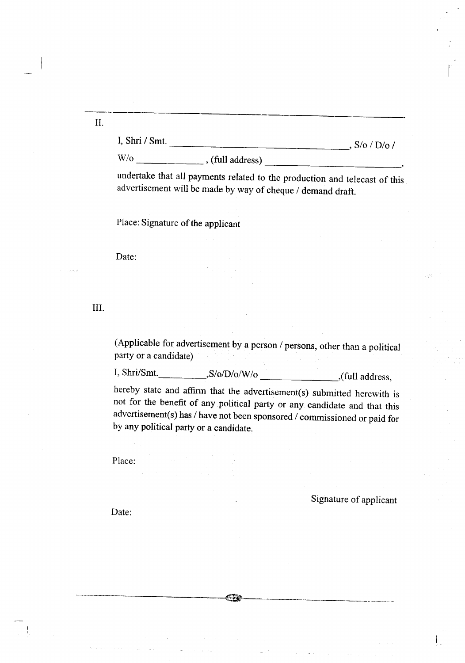II.

I, Shri *I* Smt. , *S/o I D/o I*

*W/o ,* (full address) \_

undertake that all payments related to the production and telecast of this advertisement will be made by way of cheque *I* demand draft.

Place: Signature of the applicant

Date:

III.

(Applicable for advertisement by a person *I* persons, other than a political party or a candidate)

*I, Shri/Smt. ,S/o/D/o/W/o* ,(full address,

hereby state and affirm that the advertisement(s) submitted herewith is not for the benefit of any political party or any candidate and that this advertisement(s) has*I* have not been sponsored *I* commissioned or paid for by any political party or a candidate.

-----------\$ ----\_.\_- -------

Place:

Signature of applicant

Date: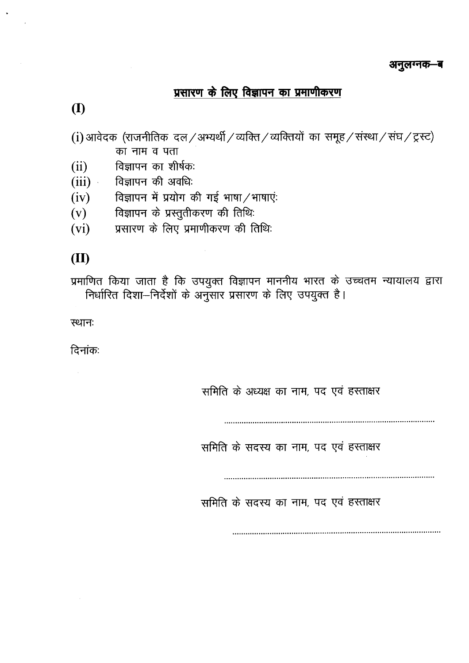# प्रसारण के लिए विज्ञापन का प्रमाणीकरण

**(I)**

(i) आवेदक (राजनीतिक दल / अभ्यर्थी / व्यक्ति / व्यक्तियों का समूह / संस्था / संघ / ट्रस्ट) का नाम व पता

(ii) विज्ञापन का शीर्षक:

 $\sim$   $\sim$ 

- $(iii)$ विज्ञापन की अवधिः
- (iv) विज्ञापन में प्रयोग की गई भाषा $/$ भाषाएं:
- (v) विज्ञापन के प्रस्तुतीकरण की तिथिः
- (vi) प्रसारण के लिए प्रमाणीकरण की तिथिः

## **(II)**

प्रमाणित किया जाता है कि उपयुक्त विज्ञापन माननीय भारत के उच्चतम न्यायालय द्वारा निर्धारित दिशा—निर्देशों के अनुसार प्रसारण के लिए उपयुक्त है।

स्थानः

दिनांकः

समिति के अध्यक्ष का नाम, पद एवं हस्ताक्षर

**................................................................................................**

समिति के सदस्य का नाम, पद एवं हस्ताक्षर

**................................................................................................**

समिति के सदस्य का नाम, पद एवं हस्ताक्षर

**...............................................................................................**